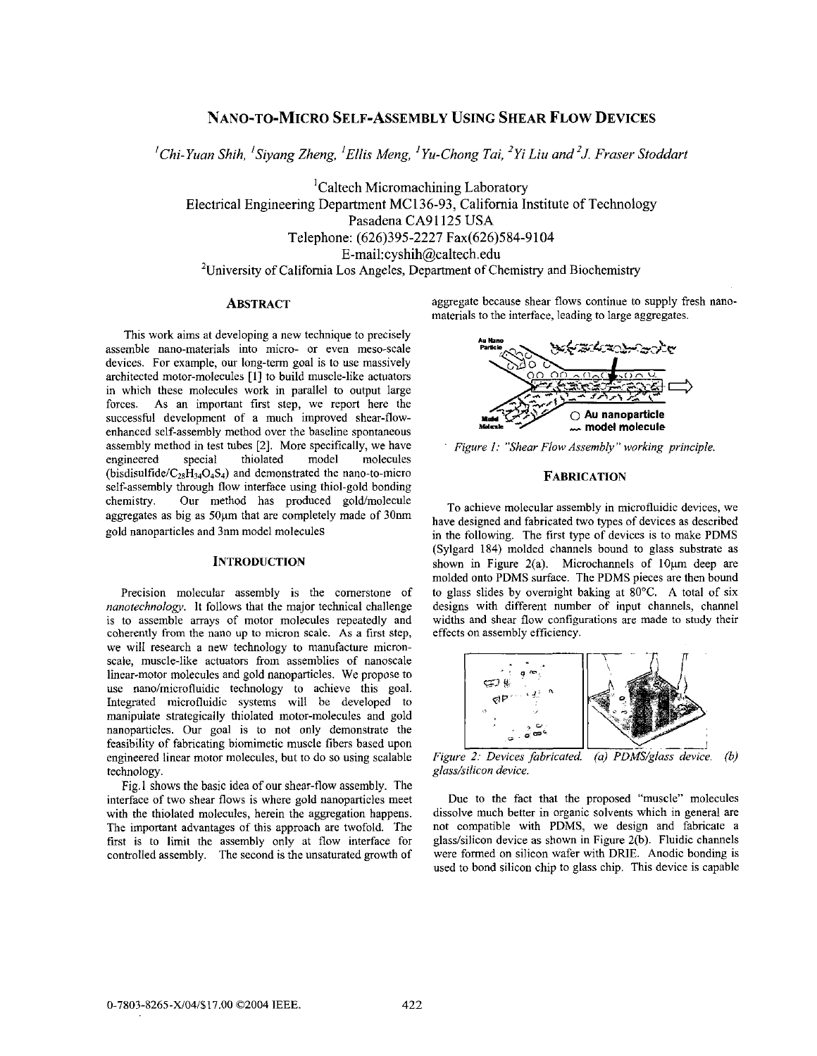# **NANO-TO-MICRO SELF-ASSEMBLY USING SHEAR FLOW DEVICES**

*Chi-Yuan Shih, 'Siymg Zheng, 'Ellis Meng, 'Yu-Chong Tui, 'Yi Liu and 'J. Fraser Stoddurt I* 

<sup>1</sup>Caltech Micromachining Laboratory Electrical Engineering Department MC136-93, California Institute of Technology Pasadena CA91125 USA Telephone: (626)395-2227 Fax(626)584-9104 [E-mail:cyshih@caltech.edu](mailto:E-mail:cyshih@caltech.edu) <sup>2</sup>University of California Los Angeles, Department of Chemistry and Biochemistry

# **ABSTRACT**

This work aims at developing a new technique to precisely assemble nano-materials into micro- or even meso-scale devices. For example, our long-term goal is to use massively architected motor-molecules [l] to build muscle-like actuators in which these molecules work in parallel to output large forces. As an important first step, we report here the successful development of a much improved shear-flowenhanced self-assembly method over the baseline spontaneous assembly method in test tubes [2]. More specifically, we have<br>engineered special thiolated model molecules engineered (bisdisulfide/ $C_{28}H_{34}O_4S_4$ ) and demonstrated the nano-to-micro self-assembly through flow interface using thiol-gold bonding chemistry. Our method has produced goldmolecule aggregates as big as 50um that are completely made of 30nm gold nanoparticles and 3nm model molecules

# **INTRODUCTION**

Precision molecular assembly is the cornerstone of *nanotechnology.* It follows that the major technical challenge is to assemble arrays of motor molecules repeatedly and coherently from the nano up to micron scale. **As** a first step, we will research a new technology to manufacture micronscale, muscle-like actuators from assemblies of nanoscale linear-motor molecules and gold nanoparticles. We propose to use nano/microfluidic technology **to** achieve this goal. Integrated microfluidic systems will he developed to manipulate strategically thiolated motor-molecules and gold nanoparticles. Our goal is to not only demonstrate the feasibility of fabricating hiomimetic muscle fibers based upon engineered linear motor molecules, but to do so using scalable technology.

Fig. 1 shows the basic idea of our shear-flow assembly. The interface of two shear flows is where gold nanoparticles meet with the thiolated molecules, herein the aggregation happens. The important advantages **of** this approach are twofold. The first is to limit the assembly only at flow interface for controlled assembly. The second is the unsaturated growth of

aggregate because shear flows continue to supply fresh nanomaterials to the interface, leading to large aggregates.



*Figure 1: "Shear Flow Assembly" working principle.* 

# **FABRICATION**

To achieve molecular assembly in microfluidic devices, we have designed and fabricated two types of devices as described in the following. The first type of devices is to make PDMS (Sylgard 184) molded channels bound to glass substrate as shown in Figure 2(a). Microchannels of  $10 \mu m$  deep are molded onto PDMS surface. The PDMS pieces are then bound **to** glass slides by overnight baking at 80°C. **A** total of six designs with different number of input channels, channel widths and shear flow configurations are made to study their effects on assembly efficiency.



 $g$ *lass/silicon device.* 

Due to the fact that the proposed "muscle" molecules dissolve much better in organic solvents which in general are not compatible with PDMS, we design and fabricate a glass/silicon device as shown in Figure 2(b). Fluidic channels were formed on silicon wafer with DRIE. Anodic bonding is used to bond silicon chip to glass chip. This device is capable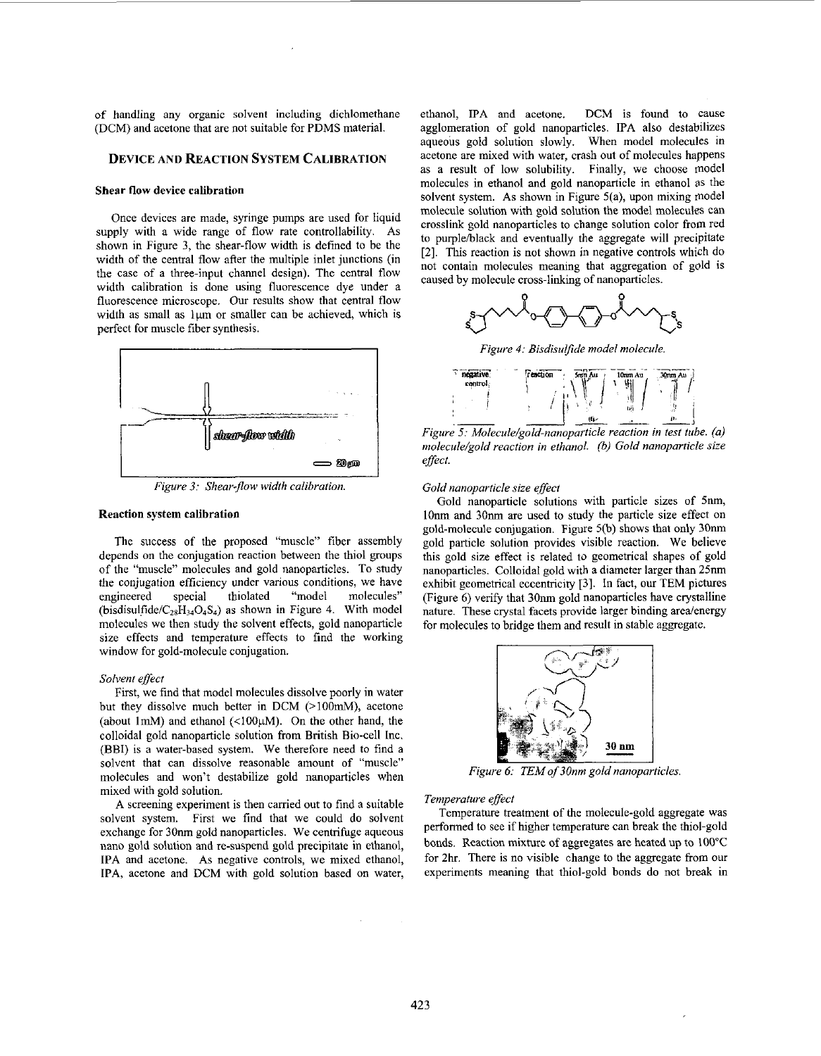of handling any organic solvent including dichlomethane (DCM) and acetone that are not suitable for PDMS material.

# **DEVICE AND REACTION SYSTEM CALIBRATION**

#### **Shear flow device calibration**

Once devices are made, syringe pumps are used for liquid supply with a wide range of flow rate controllability. **As**  shown in Figure 3, the shear-flow width is defined to be the width of the central flow after the multiple inlet junctions (in the case of a three-input channel design). The central flow width calibration is done using fluorescence dye under a fluorescence microscope. Our results show that central flow width as small as 1um or smaller can be achieved, which is perfect for muscle fiber synthesis.



*Figure 3: Shear-flow width calibration.* 

### **Reaction system calibration**

The success of the proposed "muscle" fiber assembly depends on the conjugation reaction between the thiol groups of the "muscle" molecules and gold nanoparticles. To study the conjugation efficiency under various conditions, we have engineered special thiolated "model molecules" (bisdisulfide/ $C_{28}H_{34}O_4S_4$ ) as shown in Figure 4. With model molecules we then study the solvent effects, gold nanoparticle size effects and temperature effects to find the working window for gold-molecule conjugation.

### *Solvent effect*

First, we find that model molecules dissolve poorly in water hut they dissolve much better in DCM (>IOOmM), acetone (about 1mM) and ethanol  $(\langle 100 \mu M \rangle)$ . On the other hand, the colloidal gold nanoparticle solution from British Bio-cell Inc. (BBI) is a water-based system. We therefore need to find a solvent that can dissolve reasonable amount of "muscle" molecules and won't destabilize gold nanoparticles when mixed with gold solution.

**A** screening experiment **is** then carried out to find a suitable solvent system. First we find that we could do solvent exchange for 30nm gold nanoparticles. We centrifuge aqueous nano gold solution and re-suspend gold precipitate in ethanol, **IPA** and acetone. **As** negative controls, we mixed ethanol, **IPA,** acetone and DCM with gold solution based on water,

ethanol, **IPA** and acetone. DCM **is** found to cause agglomeration of gold nanoparticles. **IPA** also destabilizes aqueous gold solution slowly. When model molecules in acetone are mixed with water, crash out of molecules happens as a result of low solubility. Finally, we choose model molecules in ethanol and gold nanoparticle in ethanol as the solvent system. **As** shown in Figure 5(a), upon mixing model molecule solution with gold solution the model molecules can crosslink gold nanoparticles to change solution color from red to purple/black and eventually the aggregate will precipitate [2]. This reaction is not shown in negative controls which do not contain molecules meaning that aggregation of gold **is**  caused by molecule cross-linking of nanoparticles.



*Figure 4: Bisdisulfide model molecule* 



*Figure 5: Molecule/gold-nonoparticle reaction in test tube. (a) molecule/gold reaction in ethanol. 0) Gold nanoparticle size effect.* 

## *Gold nanoparticle size effect*

Gold nanoparticle solutions with particle sizes of 5nm, lOnm and 30nm are used to study the particle size effect on gold-molecule conjugation. Figure *5@)* shows that only **30nm**  gold particle solution provides visible reaction. We believe this gold size effect is related to geometrical shapes of gold nanoparticles. Colloidal gold with a diameter larger than 25nm exhibit geometrical eccentricity [3]. In fact, our TEM pictures (Figure 6) verify that **30nm** gold nanoparticles have crystalline nature. These crystal facets provide larger binding area/energy for molecules to bridge them and result in stable aggregate.



*Figure 6: TEM of 30nm gold nanoparticles.* 

#### *Temperature effect*

Temperature treatment of the molecule-gold aggregate was performed to see if higher temperature can break the thiol-gold bonds. Reaction mixture of aggregates are heated up to 100°C for 2hr. There is no visible change to the aggregate from our experiments meaning that thiol-gold bonds do not break in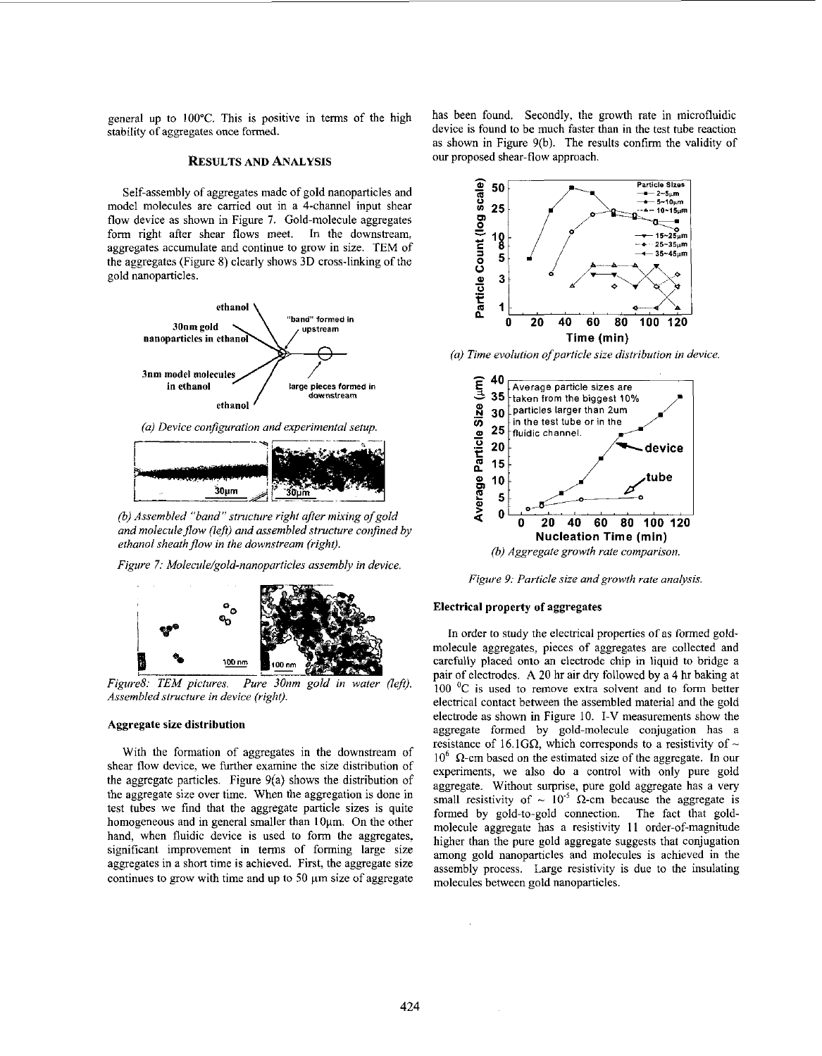general up to 100°C. This is positive in terms of the high stahility of aggregates once formed.

# **RESULTS** AND ANALYSIS

Self-assembly of aggregates made of gold nanoparticles and model molecules are carried out in a 4-channel input shear flow device as shown in Figure **7.** Gold-molecule aggregates form right after shear flows meet. In the downstream, aggregates accumulate and continue to grow in size. TEM of the aggregates (Figure 8) clearly shows 3D cross-linking of the gold nanoparticles.



*(a) Device configuration and experimental setup.* 



*(6) Assembled "band" structure right afrer mixing of gold and molecule flow (left) and assembled structure confined by* ethanol sheath flow in the downstream (right).

*Figure 7: Molecule/gold-nanoparticles assembly in device* 



*Assembled structure in device (right).* 

### Aggregate size distribution

With the formation of aggregates in the downstream of shear flow device, we further examine the size distribution of the aggregate particles. Figure 9(a) shows the distribution of the aggregate sire over time. When the aggregation **is** done in test tuhes we find that the aggregate particle sizes is quite homogeneous and in general smaller than 10um. On the other hand, when fluidic device is used to form the aggregates. significant improvement in terms of forming large size aggregates in a short time is achieved. First, the aggregate size continues to grow with time and up to 50  $\mu$ m size of aggregate

has been found. Secondly, the growth rate in microfluidic device is found to he much faster than in the test tube reaction as shown in Figure 9(h). The results confirm the validity of our proposed shear-flow approach.



*(a) Time evolution ofparticle size distribution in device.* 



*Figure 9: Particle size and growth rate analysis.* 

### Electrical property **of** aggregates

In order to study the electrical properties of as formed goldmolecule aggregates, pieces of aggregates are collected and carefully placed onto an electrode chip in liquid to bridge a pair of electrodes. **A 20** hr air dry followed by a 4 **br** baking at **100** 'C **is** used to remove extra solvent and to form better electrical contact between the assembled material and the gold electrode as shown in Figure IO. **I-V** measurements show the aggregate formed by gold-molecule conjugation has a resistance of 16.1G $\Omega$ , which corresponds to a resistivity of  $\sim$  $10^6$   $\Omega$ -cm based on the estimated size of the aggregate. In our experiments, we also do a control with only pure gold aggregate. Without surprise, pure gold aggregate has a very small resistivity of  $\sim 10^{-5}$  Q-cm because the aggregate is formed by gold-to-gold connection. The fact that goldmolecule aggregate has a resistivity **11** order-of-magnitude higher than the pure gold aggregate suggests that conjugation among gold nanoparticles and molecules **is** achieved in the assembly process. Large resistivity is due to the insulating molecules between gold nanoparticles.